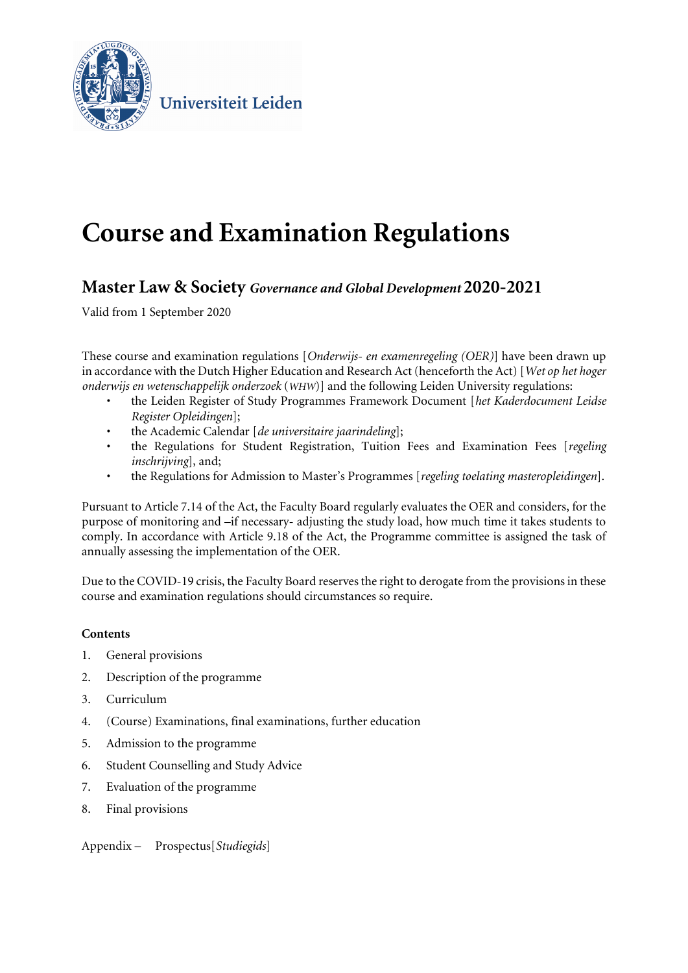

Universiteit Leiden

# **Course and Examination Regulations**

### **Master Law & Society** *Governance and Global Development* **2020-2021**

Valid from 1 September 2020

These course and examination regulations [*Onderwijs- en examenregeling (OER)*] have been drawn up in accordance with the Dutch Higher Education and Research Act (henceforth the Act) [*Wet op het hoger onderwijs en wetenschappelijk onderzoek* (*WHW*)] and the following Leiden University regulations:

- the Leiden Register of Study Programmes Framework Document [*het Kaderdocument Leidse Register Opleidingen*];
- the Academic Calendar [*de universitaire jaarindeling*];
- the Regulations for Student Registration, Tuition Fees and Examination Fees [*regeling inschrijving*], and;
- the Regulations for Admission to Master's Programmes [*regeling toelating masteropleidingen*].

Pursuant to Article 7.14 of the Act, the Faculty Board regularly evaluates the OER and considers, for the purpose of monitoring and –if necessary- adjusting the study load, how much time it takes students to comply. In accordance with Article 9.18 of the Act, the Programme committee is assigned the task of annually assessing the implementation of the OER.

Due to the COVID-19 crisis, the Faculty Board reserves the right to derogate from the provisions in these course and examination regulations should circumstances so require.

#### **Contents**

- 1. General provisions
- 2. Description of the programme
- 3. Curriculum
- 4. (Course) Examinations, final examinations, further education
- 5. Admission to the programme
- 6. Student Counselling and Study Advice
- 7. Evaluation of the programme
- 8. Final provisions

Appendix – Prospectus[*Studiegids*]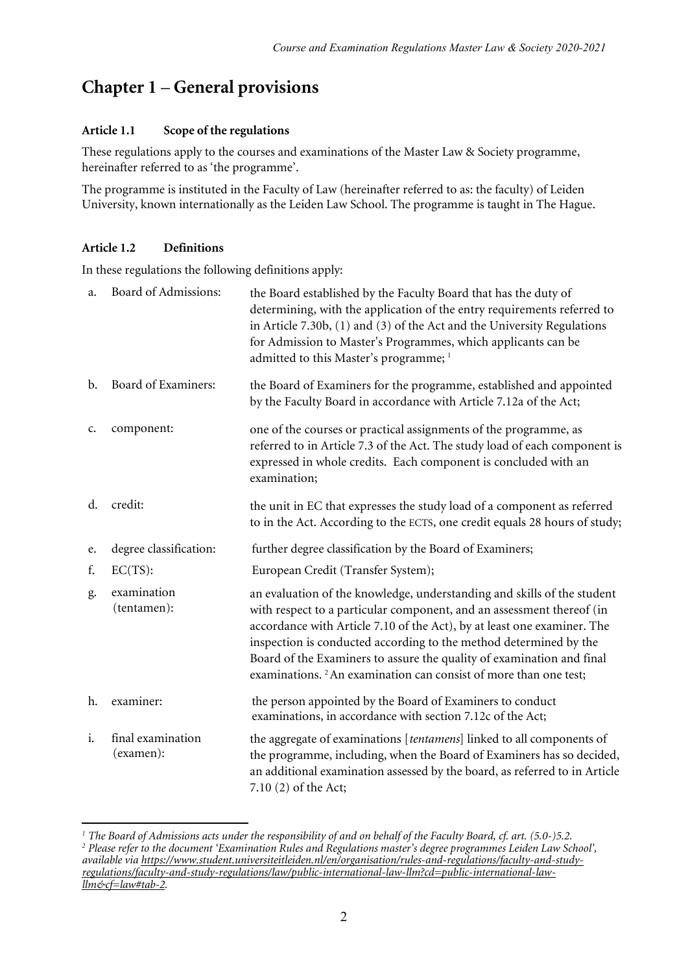### **Chapter 1** – **General provisions**

#### **Article 1.1 Scope of the regulations**

These regulations apply to the courses and examinations of the Master Law & Society programme, hereinafter referred to as 'the programme'.

The programme is instituted in the Faculty of Law (hereinafter referred to as: the faculty) of Leiden University, known internationally as the Leiden Law School. The programme is taught in The Hague.

#### **Article 1.2 Definitions**

In these regulations the following definitions apply:

| a.             | Board of Admissions:           | the Board established by the Faculty Board that has the duty of<br>determining, with the application of the entry requirements referred to<br>in Article 7.30b, (1) and (3) of the Act and the University Regulations<br>for Admission to Master's Programmes, which applicants can be<br>admitted to this Master's programme; <sup>1</sup>                                                                                                               |
|----------------|--------------------------------|-----------------------------------------------------------------------------------------------------------------------------------------------------------------------------------------------------------------------------------------------------------------------------------------------------------------------------------------------------------------------------------------------------------------------------------------------------------|
| $\mathbf{b}$ . | Board of Examiners:            | the Board of Examiners for the programme, established and appointed<br>by the Faculty Board in accordance with Article 7.12a of the Act;                                                                                                                                                                                                                                                                                                                  |
| c.             | component:                     | one of the courses or practical assignments of the programme, as<br>referred to in Article 7.3 of the Act. The study load of each component is<br>expressed in whole credits. Each component is concluded with an<br>examination;                                                                                                                                                                                                                         |
| d.             | credit:                        | the unit in EC that expresses the study load of a component as referred<br>to in the Act. According to the ECTS, one credit equals 28 hours of study;                                                                                                                                                                                                                                                                                                     |
| e.             | degree classification:         | further degree classification by the Board of Examiners;                                                                                                                                                                                                                                                                                                                                                                                                  |
| f.             | $EC(TS)$ :                     | European Credit (Transfer System);                                                                                                                                                                                                                                                                                                                                                                                                                        |
| g.             | examination<br>(tentamen):     | an evaluation of the knowledge, understanding and skills of the student<br>with respect to a particular component, and an assessment thereof (in<br>accordance with Article 7.10 of the Act), by at least one examiner. The<br>inspection is conducted according to the method determined by the<br>Board of the Examiners to assure the quality of examination and final<br>examinations. <sup>2</sup> An examination can consist of more than one test; |
| h.             | examiner:                      | the person appointed by the Board of Examiners to conduct<br>examinations, in accordance with section 7.12c of the Act;                                                                                                                                                                                                                                                                                                                                   |
| i.             | final examination<br>(examen): | the aggregate of examinations [tentamens] linked to all components of<br>the programme, including, when the Board of Examiners has so decided,<br>an additional examination assessed by the board, as referred to in Article<br>7.10 (2) of the Act;                                                                                                                                                                                                      |

<span id="page-1-1"></span><span id="page-1-0"></span> $\overline{a}$ *<sup>1</sup> The Board of Admissions acts under the responsibility of and on behalf of the Faculty Board, cf. art. (5.0-)5.2. <sup>2</sup> Please refer to the document 'Examination Rules and Regulations master's degree programmes Leiden Law School', available via [https://www.student.universiteitleiden.nl/en/organisation/rules-and-regulations/faculty-and-study](https://www.student.universiteitleiden.nl/en/organisation/rules-and-regulations/faculty-and-study-regulations/faculty-and-study-regulations/law/public-international-law-llm?cd=public-international-law-llm&cf=law#tab-2)[regulations/faculty-and-study-regulations/law/public-international-law-llm?cd=public-international-law](https://www.student.universiteitleiden.nl/en/organisation/rules-and-regulations/faculty-and-study-regulations/faculty-and-study-regulations/law/public-international-law-llm?cd=public-international-law-llm&cf=law#tab-2)[llm&cf=law#tab-2.](https://www.student.universiteitleiden.nl/en/organisation/rules-and-regulations/faculty-and-study-regulations/faculty-and-study-regulations/law/public-international-law-llm?cd=public-international-law-llm&cf=law#tab-2)*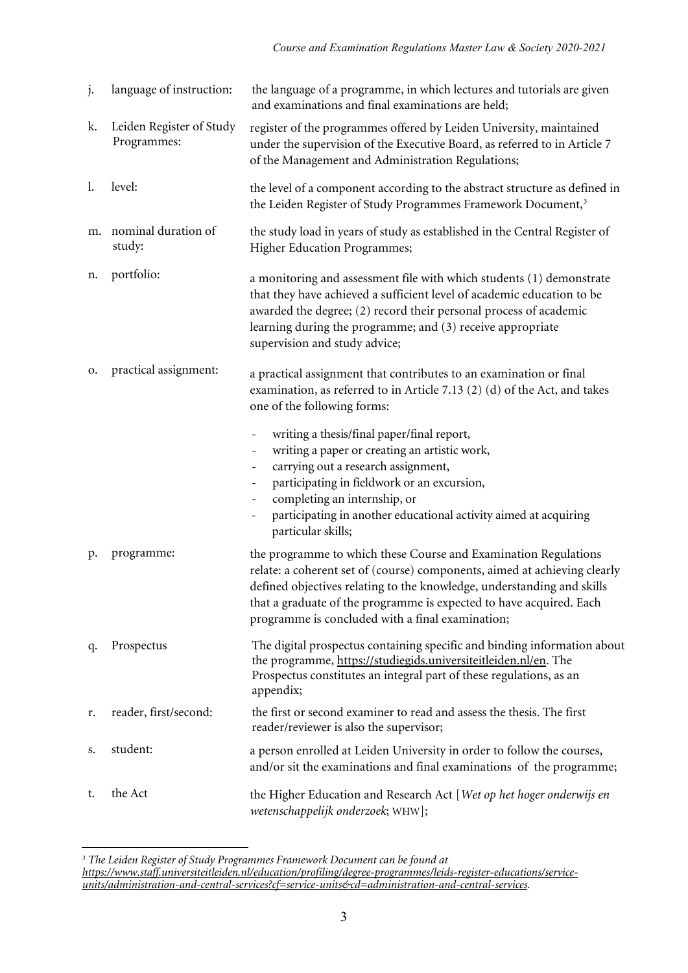| j. | language of instruction:                | the language of a programme, in which lectures and tutorials are given<br>and examinations and final examinations are held;                                                                                                                                                                                                                                                                                          |
|----|-----------------------------------------|----------------------------------------------------------------------------------------------------------------------------------------------------------------------------------------------------------------------------------------------------------------------------------------------------------------------------------------------------------------------------------------------------------------------|
| k. | Leiden Register of Study<br>Programmes: | register of the programmes offered by Leiden University, maintained<br>under the supervision of the Executive Board, as referred to in Article 7<br>of the Management and Administration Regulations;                                                                                                                                                                                                                |
| 1. | level:                                  | the level of a component according to the abstract structure as defined in<br>the Leiden Register of Study Programmes Framework Document, <sup>3</sup>                                                                                                                                                                                                                                                               |
| m. | nominal duration of<br>study:           | the study load in years of study as established in the Central Register of<br><b>Higher Education Programmes;</b>                                                                                                                                                                                                                                                                                                    |
| n. | portfolio:                              | a monitoring and assessment file with which students (1) demonstrate<br>that they have achieved a sufficient level of academic education to be<br>awarded the degree; (2) record their personal process of academic<br>learning during the programme; and (3) receive appropriate<br>supervision and study advice;                                                                                                   |
| о. | practical assignment:                   | a practical assignment that contributes to an examination or final<br>examination, as referred to in Article 7.13 (2) (d) of the Act, and takes<br>one of the following forms:                                                                                                                                                                                                                                       |
|    |                                         | writing a thesis/final paper/final report,<br>$\overline{\phantom{a}}$<br>writing a paper or creating an artistic work,<br>$\overline{\phantom{a}}$<br>carrying out a research assignment,<br>$\overline{\phantom{a}}$<br>participating in fieldwork or an excursion,<br>completing an internship, or<br>participating in another educational activity aimed at acquiring<br>$\qquad \qquad -$<br>particular skills; |
| р. | programme:                              | the programme to which these Course and Examination Regulations<br>relate: a coherent set of (course) components, aimed at achieving clearly<br>defined objectives relating to the knowledge, understanding and skills<br>that a graduate of the programme is expected to have acquired. Each<br>programme is concluded with a final examination;                                                                    |
| q. | Prospectus                              | The digital prospectus containing specific and binding information about<br>the programme, https://studiegids.universiteitleiden.nl/en. The<br>Prospectus constitutes an integral part of these regulations, as an<br>appendix;                                                                                                                                                                                      |
| r. | reader, first/second:                   | the first or second examiner to read and assess the thesis. The first<br>reader/reviewer is also the supervisor;                                                                                                                                                                                                                                                                                                     |
| s. | student:                                | a person enrolled at Leiden University in order to follow the courses,<br>and/or sit the examinations and final examinations of the programme;                                                                                                                                                                                                                                                                       |
| t. | the Act                                 | the Higher Education and Research Act [Wet op het hoger onderwijs en<br>wetenschappelijk onderzoek; WHW];                                                                                                                                                                                                                                                                                                            |

<sup>1</sup> *<sup>3</sup> The Leiden Register of Study Programmes Framework Document can be found at*

<span id="page-2-0"></span>*[https://www.staff.universiteitleiden.nl/education/profiling/degree-programmes/leids-register-educations/service](https://www.staff.universiteitleiden.nl/education/profiling/degree-programmes/leids-register-educations/service-units/administration-and-central-services?cf=service-units&cd=administration-and-central-services)[units/administration-and-central-services?cf=service-units&cd=administration-and-central-services.](https://www.staff.universiteitleiden.nl/education/profiling/degree-programmes/leids-register-educations/service-units/administration-and-central-services?cf=service-units&cd=administration-and-central-services)*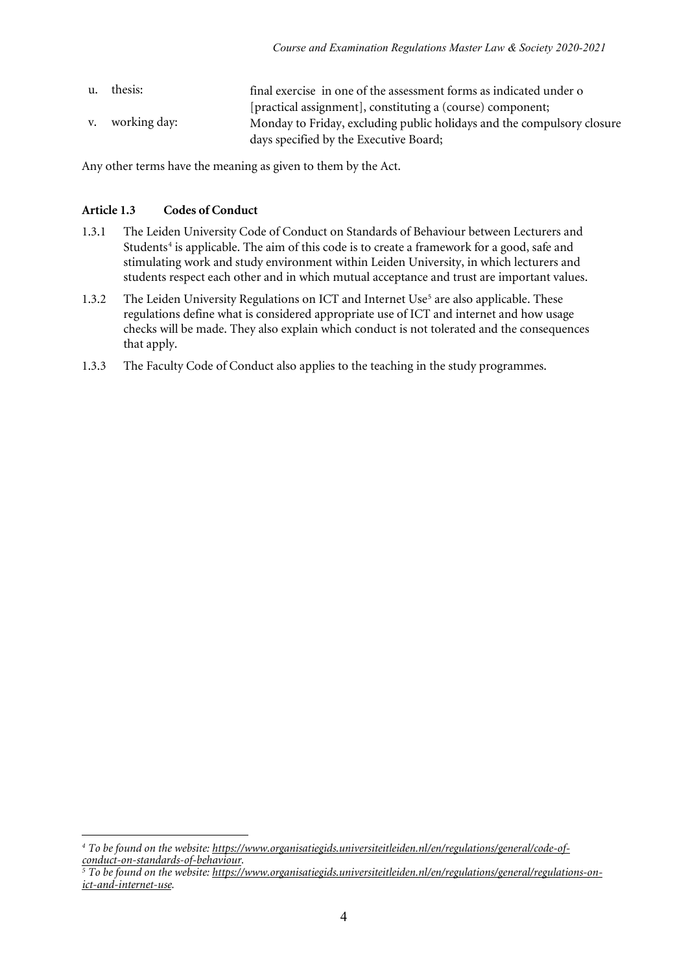u. thesis: final exercise in one of the assessment forms as indicated under o [practical assignment], constituting a (course) component; v. working day: Monday to Friday, excluding public holidays and the compulsory closure days specified by the Executive Board;

Any other terms have the meaning as given to them by the Act.

#### **Article 1.3 Codes of Conduct**

- 1.3.1 The Leiden University Code of Conduct on Standards of Behaviour between Lecturers and Students<sup>[4](#page-3-0)</sup> is applicable. The aim of this code is to create a framework for a good, safe and stimulating work and study environment within Leiden University, in which lecturers and students respect each other and in which mutual acceptance and trust are important values.
- 1.3.2 The Leiden University Regulations on ICT and Internet Use<sup>5</sup> are also applicable. These regulations define what is considered appropriate use of ICT and internet and how usage checks will be made. They also explain which conduct is not tolerated and the consequences that apply.
- 1.3.3 The Faculty Code of Conduct also applies to the teaching in the study programmes.

<span id="page-3-0"></span><sup>1</sup> *<sup>4</sup> To be found on the website[: https://www.organisatiegids.universiteitleiden.nl/en/regulations/general/code-of](https://www.organisatiegids.universiteitleiden.nl/en/regulations/general/code-of-conduct-on-standards-of-behaviour)[conduct-on-standards-of-behaviour.](https://www.organisatiegids.universiteitleiden.nl/en/regulations/general/code-of-conduct-on-standards-of-behaviour)*

<span id="page-3-1"></span>*<sup>5</sup> To be found on the website[: https://www.organisatiegids.universiteitleiden.nl/en/regulations/general/regulations-on](https://www.organisatiegids.universiteitleiden.nl/en/regulations/general/regulations-on-ict-and-internet-use)[ict-and-internet-use.](https://www.organisatiegids.universiteitleiden.nl/en/regulations/general/regulations-on-ict-and-internet-use)*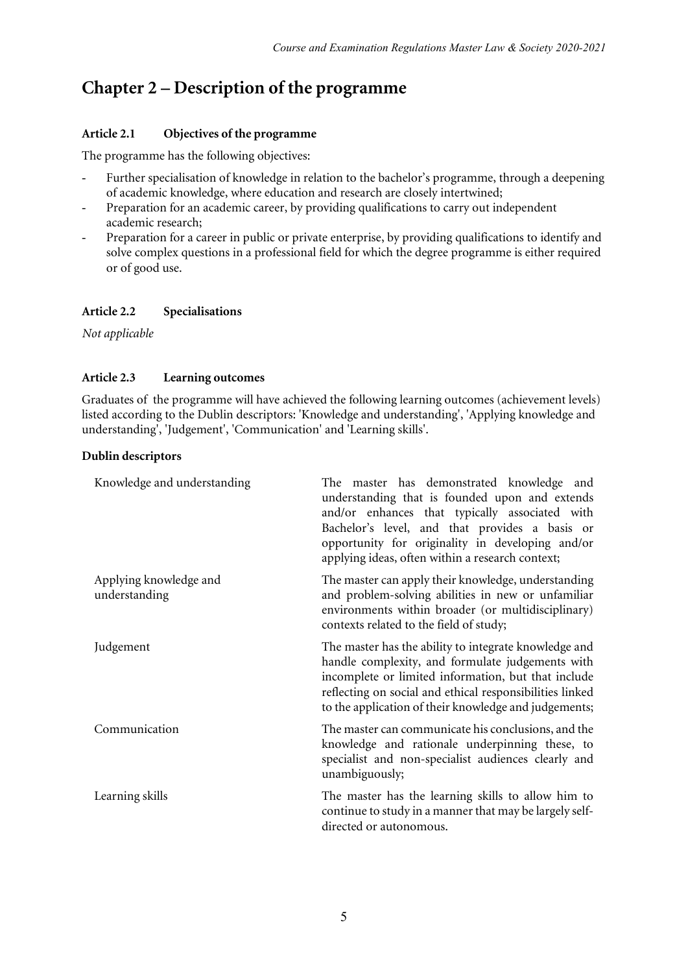# **Chapter 2 – Description of the programme**

#### **Article 2.1 Objectives of the programme**

The programme has the following objectives:

- Further specialisation of knowledge in relation to the bachelor's programme, through a deepening of academic knowledge, where education and research are closely intertwined;
- Preparation for an academic career, by providing qualifications to carry out independent academic research;
- Preparation for a career in public or private enterprise, by providing qualifications to identify and solve complex questions in a professional field for which the degree programme is either required or of good use.

#### **Article 2.2 Specialisations**

*Not applicable*

#### **Article 2.3 Learning outcomes**

Graduates of the programme will have achieved the following learning outcomes (achievement levels) listed according to the Dublin descriptors: 'Knowledge and understanding', 'Applying knowledge and understanding', 'Judgement', 'Communication' and 'Learning skills'.

#### **Dublin descriptors**

| Knowledge and understanding             | The master has demonstrated knowledge and<br>understanding that is founded upon and extends<br>and/or enhances that typically associated with<br>Bachelor's level, and that provides a basis or<br>opportunity for originality in developing and/or<br>applying ideas, often within a research context; |
|-----------------------------------------|---------------------------------------------------------------------------------------------------------------------------------------------------------------------------------------------------------------------------------------------------------------------------------------------------------|
| Applying knowledge and<br>understanding | The master can apply their knowledge, understanding<br>and problem-solving abilities in new or unfamiliar<br>environments within broader (or multidisciplinary)<br>contexts related to the field of study;                                                                                              |
| Judgement                               | The master has the ability to integrate knowledge and<br>handle complexity, and formulate judgements with<br>incomplete or limited information, but that include<br>reflecting on social and ethical responsibilities linked<br>to the application of their knowledge and judgements;                   |
| Communication                           | The master can communicate his conclusions, and the<br>knowledge and rationale underpinning these, to<br>specialist and non-specialist audiences clearly and<br>unambiguously;                                                                                                                          |
| Learning skills                         | The master has the learning skills to allow him to<br>continue to study in a manner that may be largely self-<br>directed or autonomous.                                                                                                                                                                |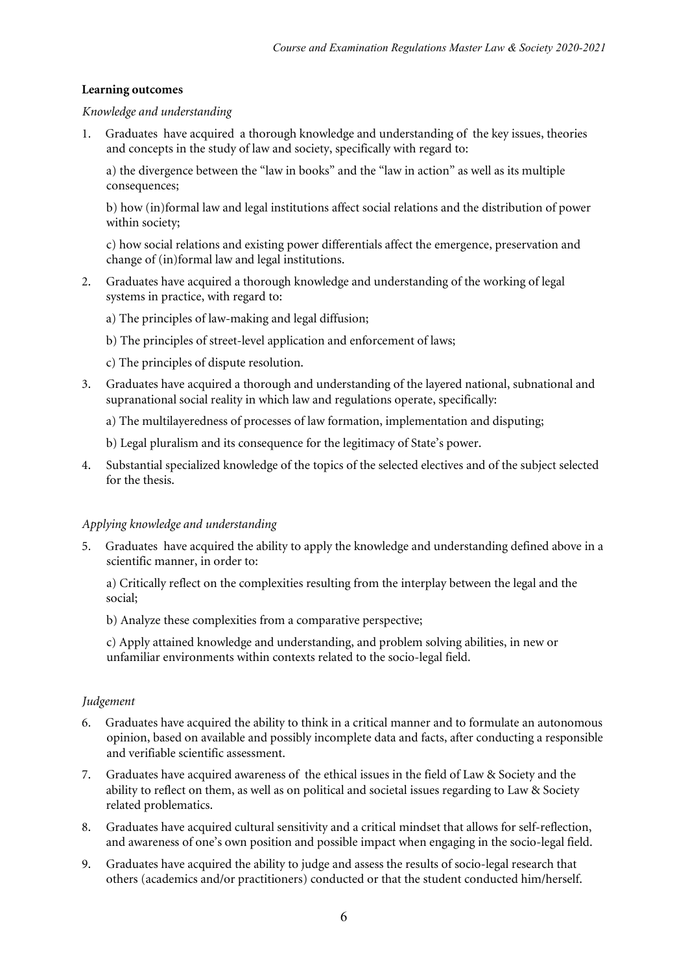#### **Learning outcomes**

#### *Knowledge and understanding*

1*.* Graduates have acquired a thorough knowledge and understanding of the key issues, theories and concepts in the study of law and society, specifically with regard to:

a) the divergence between the "law in books" and the "law in action" as well as its multiple consequences;

b) how (in)formal law and legal institutions affect social relations and the distribution of power within society;

c) how social relations and existing power differentials affect the emergence, preservation and change of (in)formal law and legal institutions.

2. Graduates have acquired a thorough knowledge and understanding of the working of legal systems in practice, with regard to:

a) The principles of law-making and legal diffusion;

- b) The principles of street-level application and enforcement of laws;
- c) The principles of dispute resolution.
- 3. Graduates have acquired a thorough and understanding of the layered national, subnational and supranational social reality in which law and regulations operate, specifically:

a) The multilayeredness of processes of law formation, implementation and disputing;

- b) Legal pluralism and its consequence for the legitimacy of State's power.
- 4. Substantial specialized knowledge of the topics of the selected electives and of the subject selected for the thesis.

#### *Applying knowledge and understanding*

5*.* Graduates have acquired the ability to apply the knowledge and understanding defined above in a scientific manner, in order to:

a) Critically reflect on the complexities resulting from the interplay between the legal and the social;

b) Analyze these complexities from a comparative perspective;

c) Apply attained knowledge and understanding, and problem solving abilities, in new or unfamiliar environments within contexts related to the socio-legal field.

#### *Judgement*

- 6*.* Graduates have acquired the ability to think in a critical manner and to formulate an autonomous opinion, based on available and possibly incomplete data and facts, after conducting a responsible and verifiable scientific assessment.
- 7. Graduates have acquired awareness of the ethical issues in the field of Law & Society and the ability to reflect on them, as well as on political and societal issues regarding to Law & Society related problematics.
- 8. Graduates have acquired cultural sensitivity and a critical mindset that allows for self-reflection, and awareness of one's own position and possible impact when engaging in the socio-legal field.
- 9. Graduates have acquired the ability to judge and assess the results of socio-legal research that others (academics and/or practitioners) conducted or that the student conducted him/herself.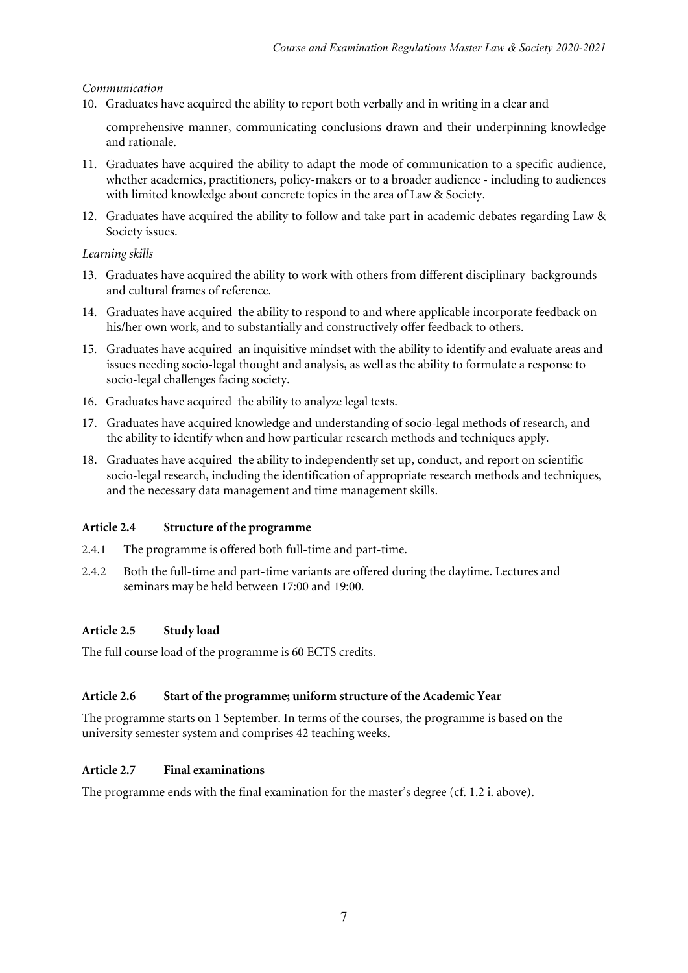#### *Communication*

10. Graduates have acquired the ability to report both verbally and in writing in a clear and

comprehensive manner, communicating conclusions drawn and their underpinning knowledge and rationale.

- 11. Graduates have acquired the ability to adapt the mode of communication to a specific audience, whether academics, practitioners, policy-makers or to a broader audience - including to audiences with limited knowledge about concrete topics in the area of Law & Society.
- 12. Graduates have acquired the ability to follow and take part in academic debates regarding Law & Society issues.

#### *Learning skills*

- 13. Graduates have acquired the ability to work with others from different disciplinary backgrounds and cultural frames of reference.
- 14. Graduates have acquired the ability to respond to and where applicable incorporate feedback on his/her own work, and to substantially and constructively offer feedback to others.
- 15. Graduates have acquired an inquisitive mindset with the ability to identify and evaluate areas and issues needing socio-legal thought and analysis, as well as the ability to formulate a response to socio-legal challenges facing society.
- 16. Graduates have acquired the ability to analyze legal texts.
- 17. Graduates have acquired knowledge and understanding of socio-legal methods of research, and the ability to identify when and how particular research methods and techniques apply.
- 18. Graduates have acquired the ability to independently set up, conduct, and report on scientific socio-legal research, including the identification of appropriate research methods and techniques, and the necessary data management and time management skills.

#### **Article 2.4 Structure of the programme**

- 2.4.1 The programme is offered both full-time and part-time.
- 2.4.2 Both the full-time and part-time variants are offered during the daytime. Lectures and seminars may be held between 17:00 and 19:00.

#### **Article 2.5 Study load**

The full course load of the programme is 60 ECTS credits*.*

#### **Article 2.6 Start of the programme; uniform structure of the Academic Year**

The programme starts on 1 September. In terms of the courses, the programme is based on the university semester system and comprises 42 teaching weeks.

#### **Article 2.7 Final examinations**

The programme ends with the final examination for the master's degree (cf. 1.2 i. above).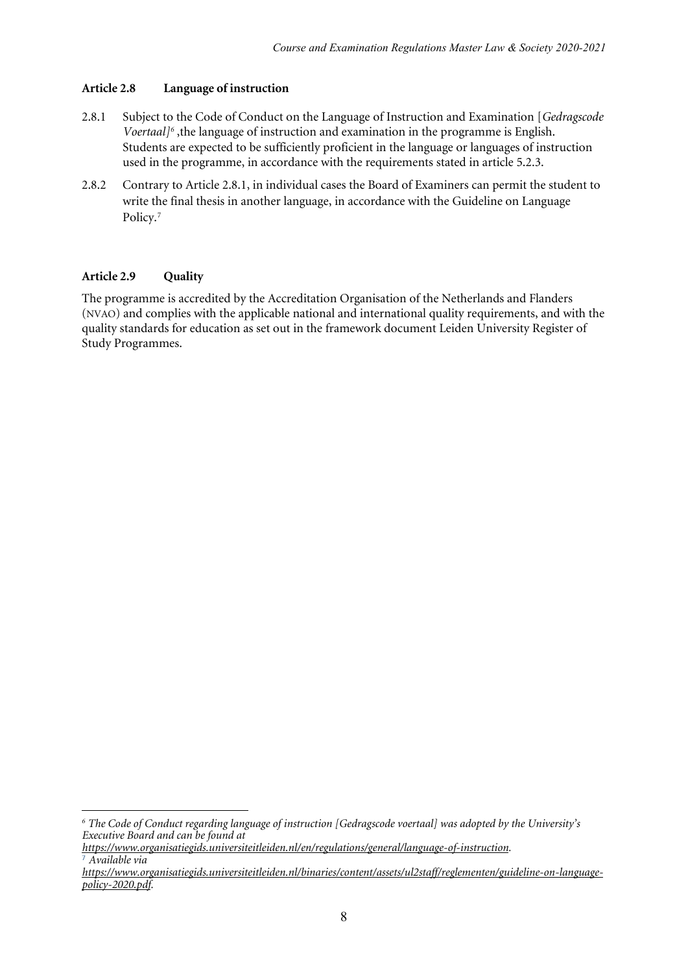#### **Article 2.8 Language of instruction**

- 2.8.1 Subject to the Code of Conduct on the Language of Instruction and Examination [*Gedragscode Voertaal[\]6](#page-7-0)* ,the language of instruction and examination in the programme is English. Students are expected to be sufficiently proficient in the language or languages of instruction used in the programme, in accordance with the requirements stated in article 5.2.3.
- 2.8.2 Contrary to Article 2.8.1, in individual cases the Board of Examiners can permit the student to write the final thesis in another language, in accordance with the Guideline on Language Policy.<sup>[7](#page-7-1)</sup>

#### **Article 2.9 Quality**

1

The programme is accredited by the Accreditation Organisation of the Netherlands and Flanders (NVAO) and complies with the applicable national and international quality requirements, and with the quality standards for education as set out in the framework document Leiden University Register of Study Programmes.

<span id="page-7-0"></span>*<sup>6</sup> The Code of Conduct regarding language of instruction [Gedragscode voertaal] was adopted by the University's Executive Board and can be found at* 

*[https://www.organisatiegids.universiteitleiden.nl/en/regulations/general/language-of-instruction.](https://www.organisatiegids.universiteitleiden.nl/en/regulations/general/language-of-instruction)* <sup>7</sup> *Available via* 

<span id="page-7-1"></span>*[https://www.organisatiegids.universiteitleiden.nl/binaries/content/assets/ul2staff/reglementen/guideline-on-language](https://www.organisatiegids.universiteitleiden.nl/binaries/content/assets/ul2staff/reglementen/guideline-on-language-policy-2020.pdf)[policy-2020.pdf.](https://www.organisatiegids.universiteitleiden.nl/binaries/content/assets/ul2staff/reglementen/guideline-on-language-policy-2020.pdf)*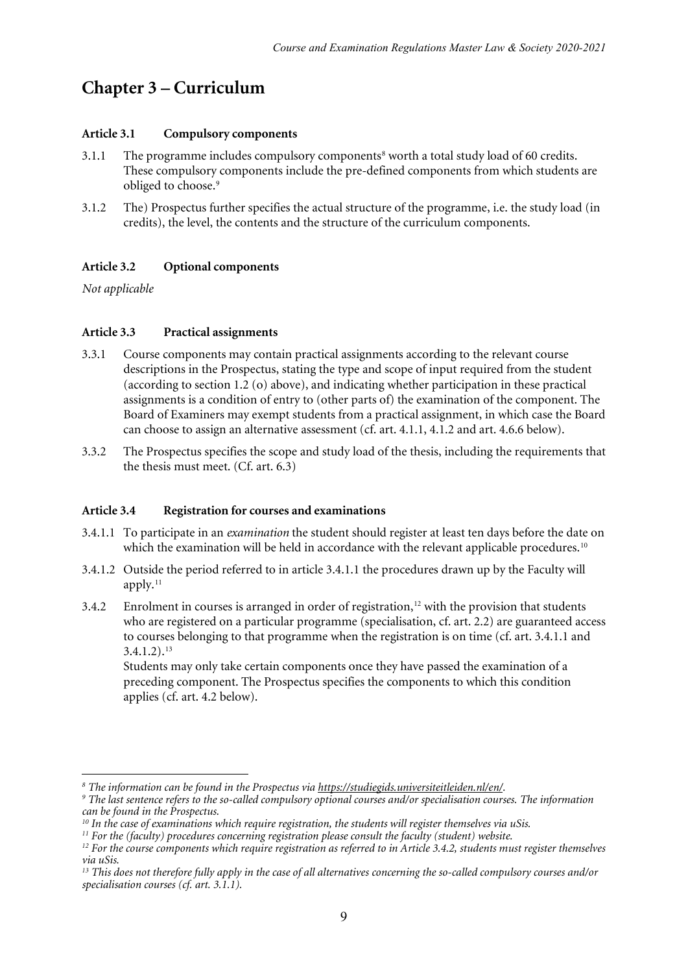### **Chapter 3 – Curriculum**

#### **Article 3.1 Compulsory components**

- 3.1.1 The programme includes compulsory components<sup>8</sup> worth a total study load of 60 credits. These compulsory components include the pre-defined components from which students are obliged to choose.<sup>[9](#page-8-1)</sup>
- 3.1.2 The) Prospectus further specifies the actual structure of the programme, i.e. the study load (in credits), the level, the contents and the structure of the curriculum components.

#### **Article 3.2 Optional components**

*Not applicable*

#### **Article 3.3 Practical assignments**

- 3.3.1 Course components may contain practical assignments according to the relevant course descriptions in the Prospectus, stating the type and scope of input required from the student (according to section 1.2 (o) above), and indicating whether participation in these practical assignments is a condition of entry to (other parts of) the examination of the component. The Board of Examiners may exempt students from a practical assignment, in which case the Board can choose to assign an alternative assessment (cf. art. 4.1.1, 4.1.2 and art. 4.6.6 below).
- 3.3.2 The Prospectus specifies the scope and study load of the thesis, including the requirements that the thesis must meet. (Cf. art. 6.3)

#### **Article 3.4 Registration for courses and examinations**

- 3.4.1.1 To participate in an *examination* the student should register at least ten days before the date on which the examination will be held in accordance with the relevant applicable procedures.<sup>10</sup>
- 3.4.1.2 Outside the period referred to in article 3.4.1.1 the procedures drawn up by the Faculty will apply.<sup>[11](#page-8-3)</sup>
- 3.4.2 Enrolment in courses is arranged in order of registration,<sup>[12](#page-8-4)</sup> with the provision that students who are registered on a particular programme (specialisation, cf. art. 2.2) are guaranteed access to courses belonging to that programme when the registration is on time (cf. art. 3.4.1.1 and  $3.4.1.2$ ).<sup>[13](#page-8-5)</sup>

Students may only take certain components once they have passed the examination of a preceding component. The Prospectus specifies the components to which this condition applies (cf. art. 4.2 below).

<sup>1</sup> 

<span id="page-8-1"></span><span id="page-8-0"></span><sup>&</sup>lt;sup>8</sup> The information can be found in the Prospectus via <u>https://studiegids.universiteitleiden.nl/en/</u>.<br><sup>9</sup> The last sentence refers to the so-called compulsory optional courses and/or specialisation courses. The informatio *can be found in the Prospectus.* 

<span id="page-8-2"></span>*<sup>10</sup> In the case of examinations which require registration, the students will register themselves via uSis.*

<span id="page-8-3"></span>

<span id="page-8-4"></span> $^{12}$  For the course components which require registration as referred to in Article 3.4.2, students must register themselves *via uSis.*

<span id="page-8-5"></span><sup>&</sup>lt;sup>13</sup> This does not therefore fully apply in the case of all alternatives concerning the so-called compulsory courses and/or *specialisation courses (cf. art. 3.1.1).*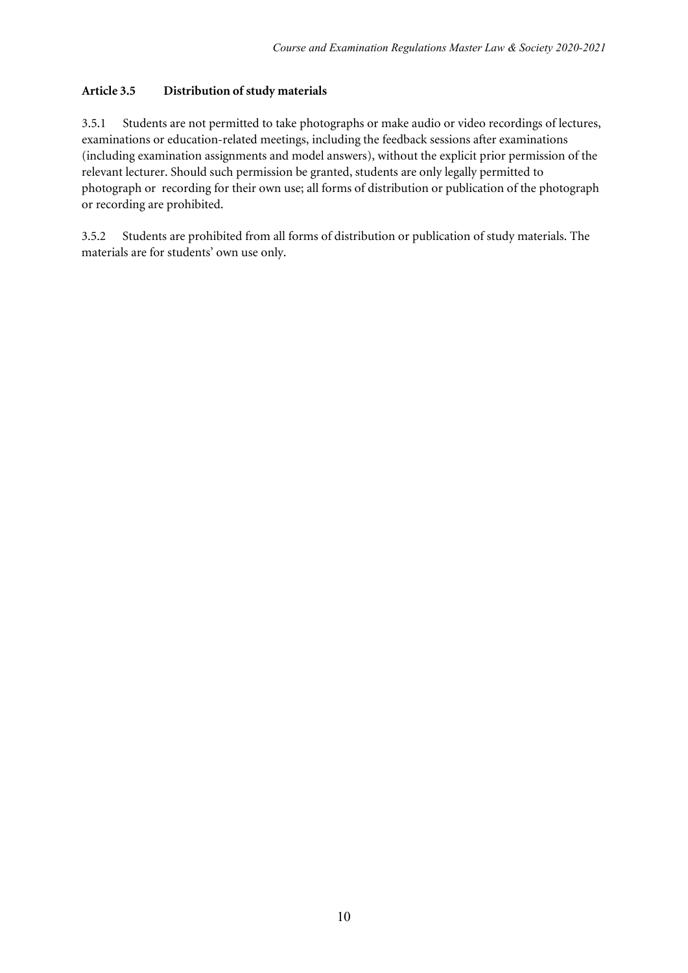#### **Article 3.5 Distribution ofstudy materials**

3.5.1 Students are not permitted to take photographs or make audio or video recordings of lectures, examinations or education-related meetings, including the feedback sessions after examinations (including examination assignments and model answers), without the explicit prior permission of the relevant lecturer. Should such permission be granted, students are only legally permitted to photograph or recording for their own use; all forms of distribution or publication of the photograph or recording are prohibited.

3.5.2 Students are prohibited from all forms of distribution or publication of study materials. The materials are for students' own use only.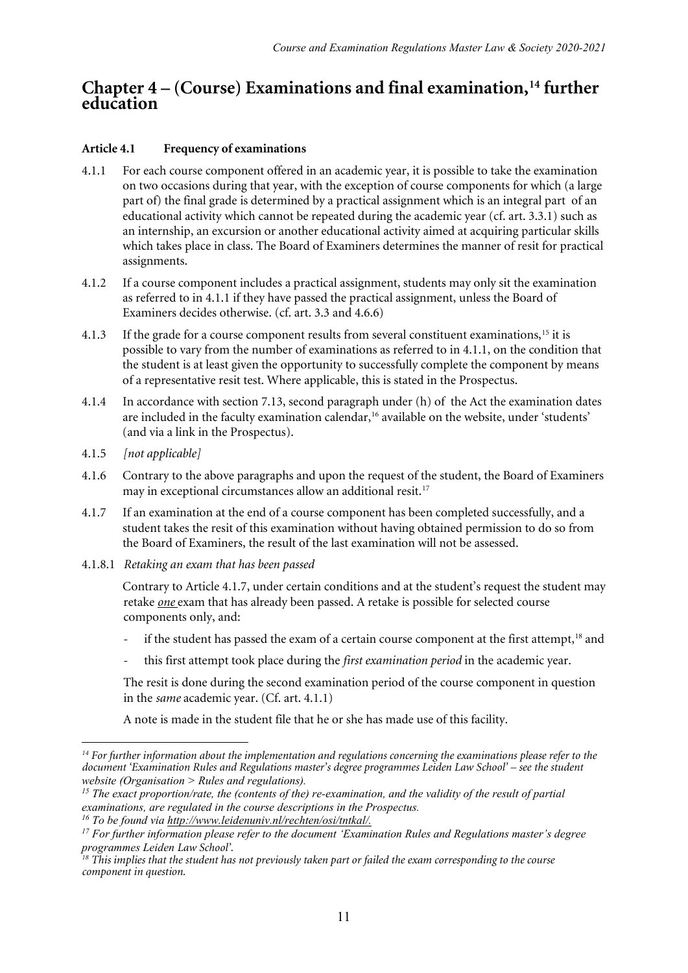### **Chapter 4 – (Course) Examinations and final examination,[14](#page-10-0) further education**

#### **Article 4.1 Frequency of examinations**

- 4.1.1 For each course component offered in an academic year, it is possible to take the examination on two occasions during that year, with the exception of course components for which (a large part of) the final grade is determined by a practical assignment which is an integral part of an educational activity which cannot be repeated during the academic year (cf. art. 3.3.1) such as an internship, an excursion or another educational activity aimed at acquiring particular skills which takes place in class. The Board of Examiners determines the manner of resit for practical assignments.
- 4.1.2 If a course component includes a practical assignment, students may only sit the examination as referred to in 4.1.1 if they have passed the practical assignment, unless the Board of Examiners decides otherwise. (cf. art. 3.3 and 4.6.6)
- 4.1.3 If the grade for a course component results from several constituent examinations,<sup>[15](#page-10-1)</sup> it is possible to vary from the number of examinations as referred to in 4.1.1, on the condition that the student is at least given the opportunity to successfully complete the component by means of a representative resit test. Where applicable, this is stated in the Prospectus.
- 4.1.4 In accordance with section 7.13, second paragraph under (h) of the Act the examination dates are included in the faculty examination calendar,<sup>[16](#page-10-2)</sup> available on the website, under 'students' (and via a link in the Prospectus).
- 4.1.5 *[not applicable]*
- 4.1.6 Contrary to the above paragraphs and upon the request of the student, the Board of Examiners may in exceptional circumstances allow an additional resit.<sup>[17](#page-10-3)</sup>
- 4.1.7 If an examination at the end of a course component has been completed successfully, and a student takes the resit of this examination without having obtained permission to do so from the Board of Examiners, the result of the last examination will not be assessed.
- 4.1.8.1 *Retaking an exam that has been passed*

Contrary to Article 4.1.7, under certain conditions and at the student's request the student may retake *one* exam that has already been passed. A retake is possible for selected course components only, and:

- if the student has passed the exam of a certain course component at the first attempt,<sup>[18](#page-10-4)</sup> and
- this first attempt took place during the *first examination period* in the academic year.

The resit is done during the second examination period of the course component in question in the *same* academic year. (Cf. art. 4.1.1)

A note is made in the student file that he or she has made use of this facility.

<span id="page-10-0"></span> $\overline{a}$ *<sup>14</sup> For further information about the implementation and regulations concerning the examinations please refer to the document 'Examination Rules and Regulations master's degree programmes Leiden Law School' – see the student website (Organisation > Rules and regulations).* 

<span id="page-10-1"></span>*<sup>15</sup> The exact proportion/rate, the (contents of the) re-examination, and the validity of the result of partial examinations, are regulated in the course descriptions in the Prospectus.* 

*<sup>16</sup> To be found via [http://www.leidenuniv.nl/rechten/osi/tntkal/.](http://www.leidenuniv.nl/rechten/osi/tntkal/)*

<span id="page-10-3"></span><span id="page-10-2"></span>*<sup>17</sup> For further information please refer to the document 'Examination Rules and Regulations master's degree programmes Leiden Law School'.*

<span id="page-10-4"></span>*<sup>18</sup> This implies that the student has not previously taken part or failed the exam corresponding to the course component in question.*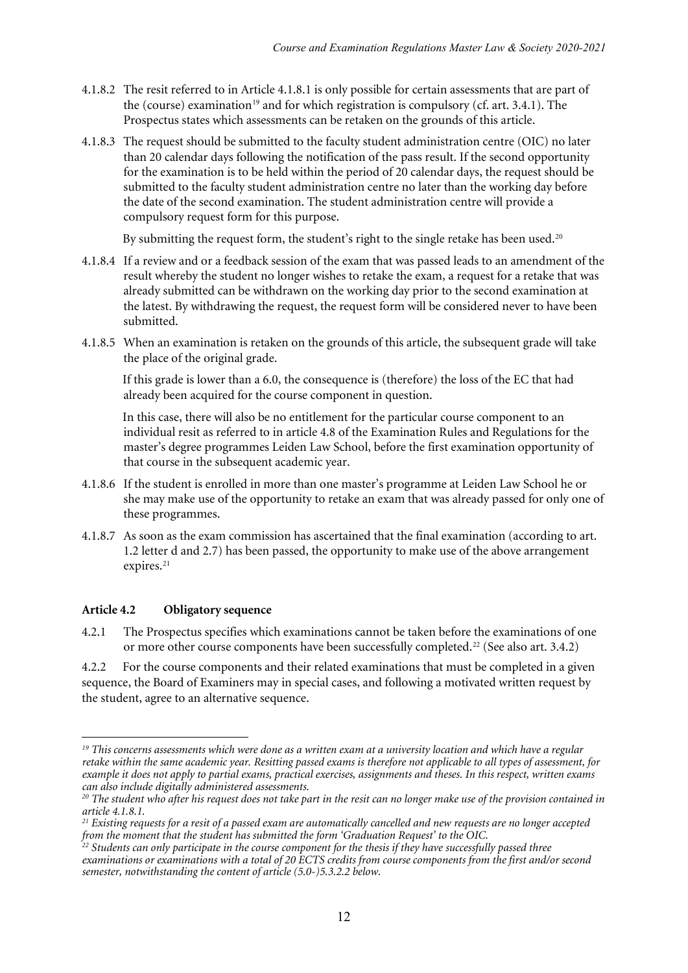- 4.1.8.2 The resit referred to in Article 4.1.8.1 is only possible for certain assessments that are part of the (course) examination<sup>[19](#page-11-0)</sup> and for which registration is compulsory (cf. art. 3.4.1). The Prospectus states which assessments can be retaken on the grounds of this article.
- 4.1.8.3 The request should be submitted to the faculty student administration centre (OIC) no later than 20 calendar days following the notification of the pass result. If the second opportunity for the examination is to be held within the period of 20 calendar days, the request should be submitted to the faculty student administration centre no later than the working day before the date of the second examination. The student administration centre will provide a compulsory request form for this purpose.

By submitting the request form, the student's right to the single retake has been used.<sup>[20](#page-11-1)</sup>

- 4.1.8.4 If a review and or a feedback session of the exam that was passed leads to an amendment of the result whereby the student no longer wishes to retake the exam, a request for a retake that was already submitted can be withdrawn on the working day prior to the second examination at the latest. By withdrawing the request, the request form will be considered never to have been submitted.
- 4.1.8.5 When an examination is retaken on the grounds of this article, the subsequent grade will take the place of the original grade.

If this grade is lower than a 6.0, the consequence is (therefore) the loss of the EC that had already been acquired for the course component in question.

In this case, there will also be no entitlement for the particular course component to an individual resit as referred to in article 4.8 of the Examination Rules and Regulations for the master's degree programmes Leiden Law School, before the first examination opportunity of that course in the subsequent academic year.

- 4.1.8.6 If the student is enrolled in more than one master's programme at Leiden Law School he or she may make use of the opportunity to retake an exam that was already passed for only one of these programmes.
- 4.1.8.7 As soon as the exam commission has ascertained that the final examination (according to art. 1.2 letter d and 2.7) has been passed, the opportunity to make use of the above arrangement expires.<sup>[21](#page-11-2)</sup>

#### **Article 4.2 Obligatory sequence**

1

4.2.1 The Prospectus specifies which examinations cannot be taken before the examinations of one or more other course components have been successfully completed.[22](#page-11-3) (See also art. 3.4.2)

4.2.2 For the course components and their related examinations that must be completed in a given sequence, the Board of Examiners may in special cases, and following a motivated written request by the student, agree to an alternative sequence.

<span id="page-11-0"></span><sup>&</sup>lt;sup>19</sup> This concerns assessments which were done as a written exam at a university location and which have a regular *retake within the same academic year. Resitting passed exams is therefore not applicable to all types of assessment, for example it does not apply to partial exams, practical exercises, assignments and theses. In this respect, written exams can also include digitally administered assessments.*

<span id="page-11-1"></span>*<sup>20</sup> The student who after his request does not take part in the resit can no longer make use of the provision contained in article 4.1.8.1.*

<span id="page-11-2"></span>*<sup>21</sup> Existing requests for a resit of a passed exam are automatically cancelled and new requests are no longer accepted from the moment that the student has submitted the form 'Graduation Request' to the OIC.*

<span id="page-11-3"></span>*<sup>22</sup> Students can only participate in the course component for the thesis if they have successfully passed three examinations or examinations with a total of 20 ECTS credits from course components from the first and/or second semester, notwithstanding the content of article (5.0-)5.3.2.2 below.*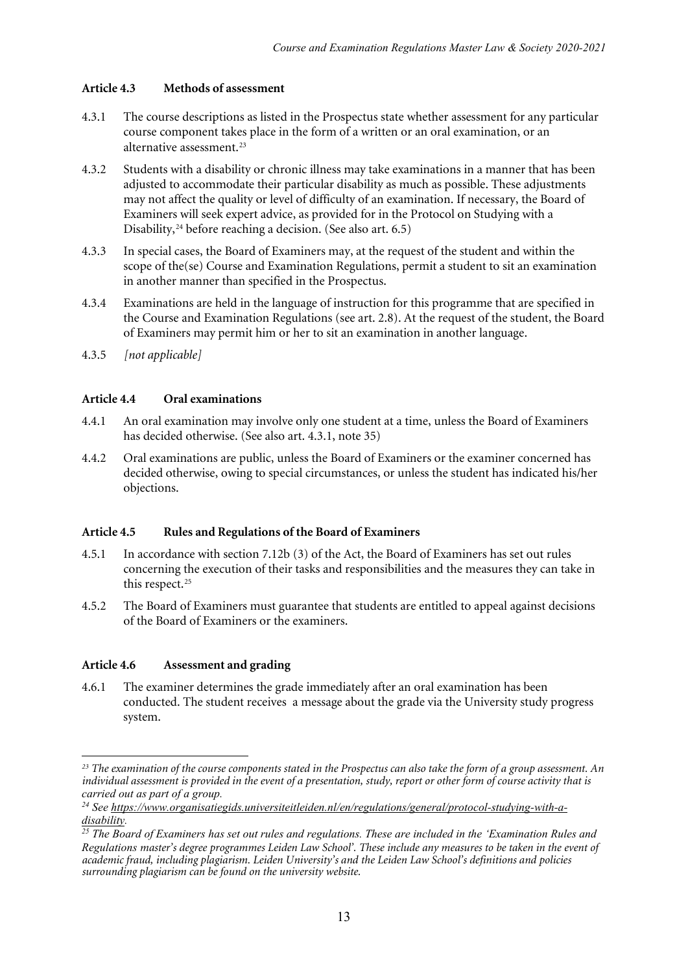#### **Article 4.3 Methods of assessment**

- 4.3.1 The course descriptions as listed in the Prospectus state whether assessment for any particular course component takes place in the form of a written or an oral examination, or an alternative assessment.<sup>[23](#page-12-0)</sup>
- 4.3.2 Students with a disability or chronic illness may take examinations in a manner that has been adjusted to accommodate their particular disability as much as possible. These adjustments may not affect the quality or level of difficulty of an examination. If necessary, the Board of Examiners will seek expert advice, as provided for in the Protocol on Studying with a Disability,<sup>[24](#page-12-1)</sup> before reaching a decision. (See also art. 6.5)
- 4.3.3 In special cases, the Board of Examiners may, at the request of the student and within the scope of the(se) Course and Examination Regulations, permit a student to sit an examination in another manner than specified in the Prospectus.
- 4.3.4 Examinations are held in the language of instruction for this programme that are specified in the Course and Examination Regulations (see art. 2.8). At the request of the student, the Board of Examiners may permit him or her to sit an examination in another language.
- 4.3.5 *[not applicable]*

#### **Article 4.4 Oral examinations**

- 4.4.1 An oral examination may involve only one student at a time, unless the Board of Examiners has decided otherwise. (See also art. 4.3.1, note 35)
- 4.4.2 Oral examinations are public, unless the Board of Examiners or the examiner concerned has decided otherwise, owing to special circumstances, or unless the student has indicated his/her objections.

#### **Article 4.5 Rules and Regulations of the Board of Examiners**

- 4.5.1 In accordance with section 7.12b (3) of the Act, the Board of Examiners has set out rules concerning the execution of their tasks and responsibilities and the measures they can take in this respect.<sup>[25](#page-12-2)</sup>
- 4.5.2 The Board of Examiners must guarantee that students are entitled to appeal against decisions of the Board of Examiners or the examiners.

#### **Article 4.6 Assessment and grading**

4.6.1 The examiner determines the grade immediately after an oral examination has been conducted. The student receives a message about the grade via the University study progress system.

<span id="page-12-0"></span> $\overline{a}$ *<sup>23</sup> The examination of the course components stated in the Prospectus can also take the form of a group assessment. An individual assessment is provided in the event of a presentation, study, report or other form of course activity that is* 

<span id="page-12-1"></span>*carried out as part of a group. 24 See [https://www.organisatiegids.universiteitleiden.nl/en/regulations/general/protocol-studying-with-a-](https://www.organisatiegids.universiteitleiden.nl/en/regulations/general/protocol-studying-with-a-disability)*

<span id="page-12-2"></span>*[disability.](https://www.organisatiegids.universiteitleiden.nl/en/regulations/general/protocol-studying-with-a-disability) 25 The Board of Examiners has set out rules and regulations. These are included in the 'Examination Rules and Regulations master's degree programmes Leiden Law School'. These include any measures to be taken in the event of academic fraud, including plagiarism. Leiden University's and the Leiden Law School's definitions and policies surrounding plagiarism can be found on the university website.*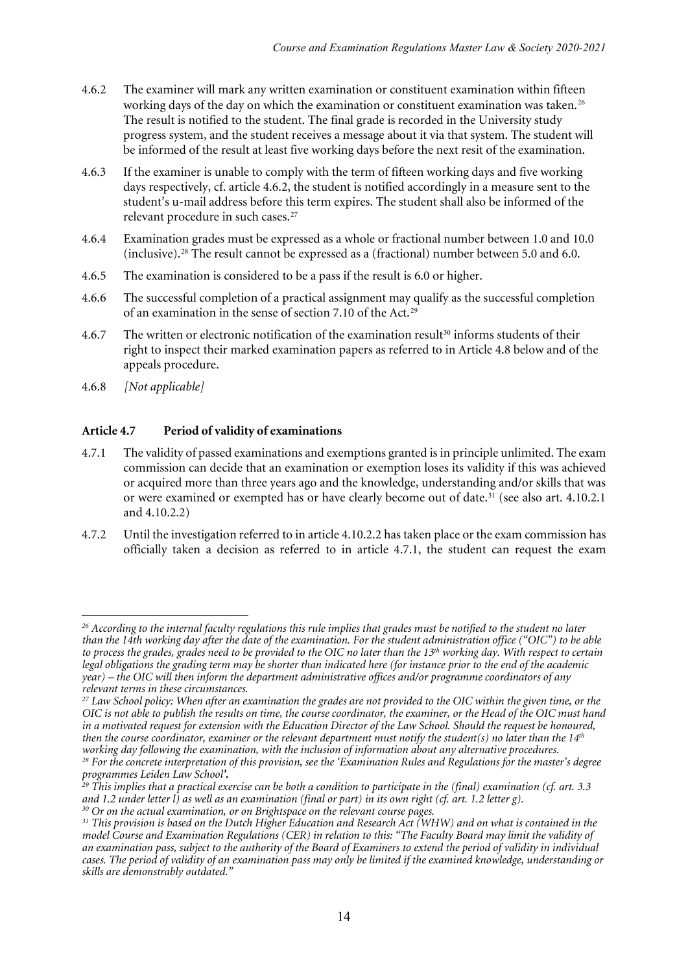- 4.6.2 The examiner will mark any written examination or constituent examination within fifteen working days of the day on which the examination or constituent examination was taken.<sup>[26](#page-13-0)</sup> The result is notified to the student. The final grade is recorded in the University study progress system, and the student receives a message about it via that system. The student will be informed of the result at least five working days before the next resit of the examination.
- 4.6.3 If the examiner is unable to comply with the term of fifteen working days and five working days respectively, cf. article 4.6.2, the student is notified accordingly in a measure sent to the student's u-mail address before this term expires. The student shall also be informed of the relevant procedure in such cases.<sup>[27](#page-13-1)</sup>
- 4.6.4 Examination grades must be expressed as a whole or fractional number between 1.0 and 10.0 (inclusive).[28](#page-13-2) The result cannot be expressed as a (fractional) number between 5.0 and 6.0.
- 4.6.5 The examination is considered to be a pass if the result is 6.0 or higher.
- 4.6.6 The successful completion of a practical assignment may qualify as the successful completion of an examination in the sense of section 7.10 of the Act.[29](#page-13-3)
- 4.6.7 The written or electronic notification of the examination result<sup>[30](#page-13-4)</sup> informs students of their right to inspect their marked examination papers as referred to in Article 4.8 below and of the appeals procedure.
- 4.6.8 *[Not applicable]*

#### **Article 4.7 Period of validity of examinations**

- 4.7.1 The validity of passed examinations and exemptions granted is in principle unlimited. The exam commission can decide that an examination or exemption loses its validity if this was achieved or acquired more than three years ago and the knowledge, understanding and/or skills that was or were examined or exempted has or have clearly become out of date.<sup>[31](#page-13-5)</sup> (see also art. 4.10.2.1 and 4.10.2.2)
- 4.7.2 Until the investigation referred to in article 4.10.2.2 has taken place or the exam commission has officially taken a decision as referred to in article 4.7.1, the student can request the exam

<span id="page-13-0"></span><sup>1</sup> *<sup>26</sup> According to the internal faculty regulations this rule implies that grades must be notified to the student no later than the 14th working day after the date of the examination. For the student administration office ("OIC") to be able to process the grades, grades need to be provided to the OIC no later than the 13th working day. With respect to certain legal obligations the grading term may be shorter than indicated here (for instance prior to the end of the academic year) – the OIC will then inform the department administrative offices and/or programme coordinators of any relevant terms in these circumstances.* 

<span id="page-13-1"></span>*<sup>27</sup> Law School policy: When after an examination the grades are not provided to the OIC within the given time, or the OIC is not able to publish the results on time, the course coordinator, the examiner, or the Head of the OIC must hand in a motivated request for extension with the Education Director of the Law School. Should the request be honoured,*  then the course coordinator, examiner or the relevant department must notify the student(s) no later than the 14<sup>th</sup> *working day following the examination, with the inclusion of information about any alternative procedures. <sup>28</sup> For the concrete interpretation of this provision, see the 'Examination Rules and Regulations for the master's degree programmes Leiden Law School'.*

<span id="page-13-3"></span><span id="page-13-2"></span>*<sup>29</sup> This implies that a practical exercise can be both a condition to participate in the (final) examination (cf. art. 3.3 and 1.2 under letter l) as well as an examination (final or part) in its own right (cf. art. 1.2 letter g). <sup>30</sup> Or on the actual examination, or on Brightspace on the relevant course pages.*

<span id="page-13-5"></span><span id="page-13-4"></span>*<sup>31</sup> This provision is based on the Dutch Higher Education and Research Act (WHW) and on what is contained in the model Course and Examination Regulations (CER) in relation to this: "The Faculty Board may limit the validity of an examination pass, subject to the authority of the Board of Examiners to extend the period of validity in individual cases. The period of validity of an examination pass may only be limited if the examined knowledge, understanding or skills are demonstrably outdated."*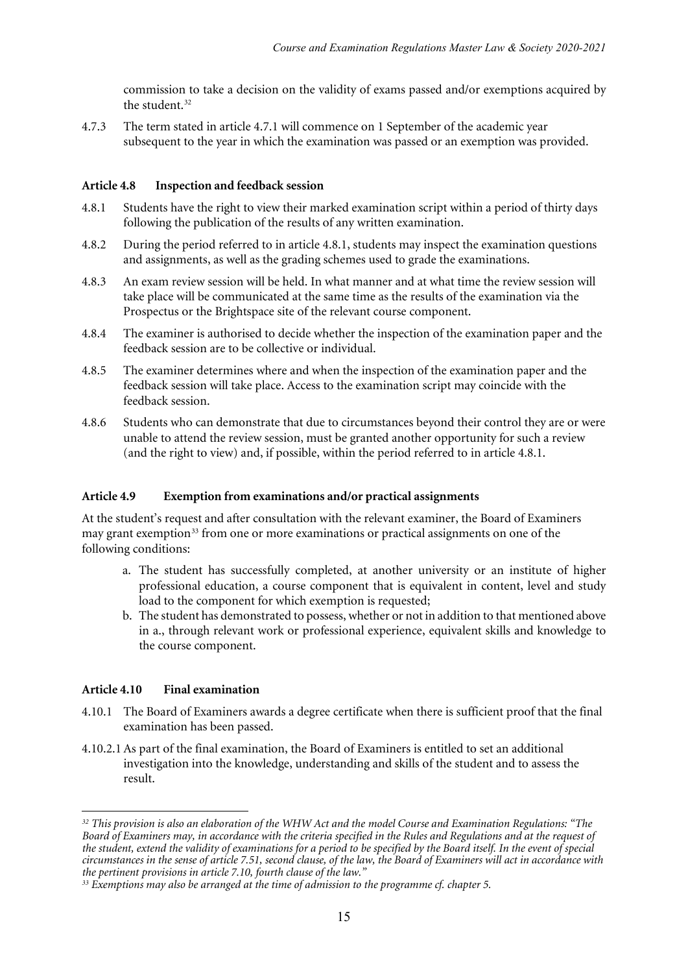commission to take a decision on the validity of exams passed and/or exemptions acquired by the student.<sup>32</sup>

4.7.3 The term stated in article 4.7.1 will commence on 1 September of the academic year subsequent to the year in which the examination was passed or an exemption was provided.

#### **Article 4.8 Inspection and feedback session**

- 4.8.1 Students have the right to view their marked examination script within a period of thirty days following the publication of the results of any written examination.
- 4.8.2 During the period referred to in article 4.8.1, students may inspect the examination questions and assignments, as well as the grading schemes used to grade the examinations.
- 4.8.3 An exam review session will be held. In what manner and at what time the review session will take place will be communicated at the same time as the results of the examination via the Prospectus or the Brightspace site of the relevant course component.
- 4.8.4 The examiner is authorised to decide whether the inspection of the examination paper and the feedback session are to be collective or individual.
- 4.8.5 The examiner determines where and when the inspection of the examination paper and the feedback session will take place. Access to the examination script may coincide with the feedback session.
- 4.8.6 Students who can demonstrate that due to circumstances beyond their control they are or were unable to attend the review session, must be granted another opportunity for such a review (and the right to view) and, if possible, within the period referred to in article 4.8.1.

#### **Article 4.9 Exemption from examinations and/or practical assignments**

At the student's request and after consultation with the relevant examiner, the Board of Examiners may grant exemption<sup>[33](#page-14-1)</sup> from one or more examinations or practical assignments on one of the following conditions:

- a. The student has successfully completed, at another university or an institute of higher professional education, a course component that is equivalent in content, level and study load to the component for which exemption is requested;
- b. The student has demonstrated to possess, whether or not in addition to that mentioned above in a., through relevant work or professional experience, equivalent skills and knowledge to the course component.

#### **Article 4.10 Final examination**

 $\overline{a}$ 

- 4.10.1 The Board of Examiners awards a degree certificate when there is sufficient proof that the final examination has been passed.
- 4.10.2.1As part of the final examination, the Board of Examiners is entitled to set an additional investigation into the knowledge, understanding and skills of the student and to assess the result.

<span id="page-14-0"></span>*<sup>32</sup> This provision is also an elaboration of the WHW Act and the model Course and Examination Regulations: "The Board of Examiners may, in accordance with the criteria specified in the Rules and Regulations and at the request of the student, extend the validity of examinations for a period to be specified by the Board itself. In the event of special circumstances in the sense of article 7.51, second clause, of the law, the Board of Examiners will act in accordance with the pertinent provisions in article 7.10, fourth clause of the law."*

<span id="page-14-1"></span>*<sup>33</sup> Exemptions may also be arranged at the time of admission to the programme cf. chapter 5.*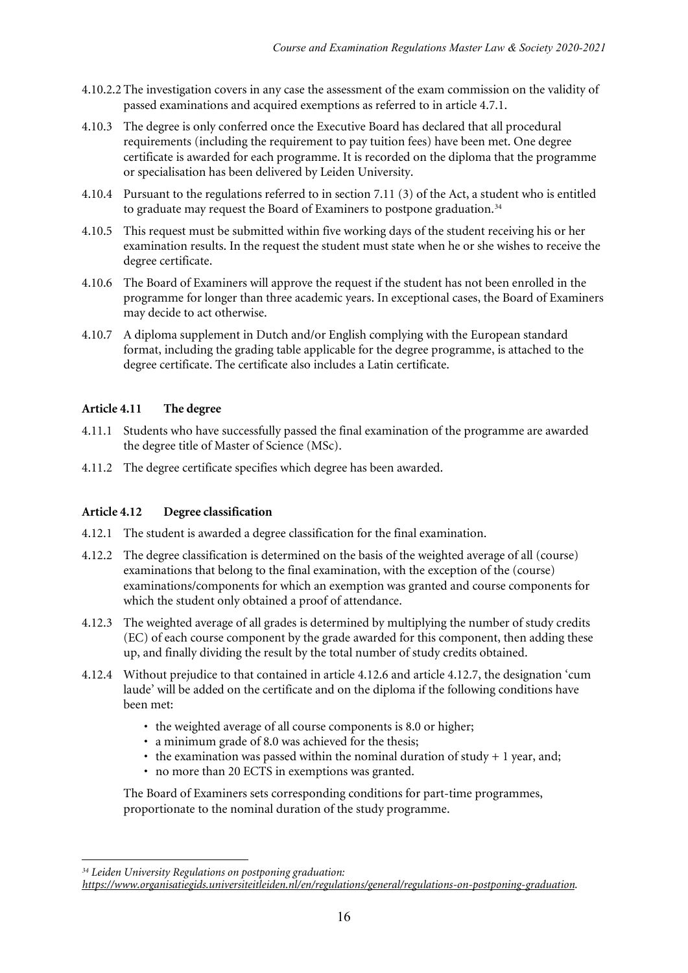- 4.10.2.2 The investigation covers in any case the assessment of the exam commission on the validity of passed examinations and acquired exemptions as referred to in article 4.7.1.
- 4.10.3 The degree is only conferred once the Executive Board has declared that all procedural requirements (including the requirement to pay tuition fees) have been met. One degree certificate is awarded for each programme. It is recorded on the diploma that the programme or specialisation has been delivered by Leiden University.
- 4.10.4 Pursuant to the regulations referred to in section 7.11 (3) of the Act, a student who is entitled to graduate may request the Board of Examiners to postpone graduation.<sup>[34](#page-15-0)</sup>
- 4.10.5 This request must be submitted within five working days of the student receiving his or her examination results. In the request the student must state when he or she wishes to receive the degree certificate.
- 4.10.6 The Board of Examiners will approve the request if the student has not been enrolled in the programme for longer than three academic years. In exceptional cases, the Board of Examiners may decide to act otherwise.
- 4.10.7 A diploma supplement in Dutch and/or English complying with the European standard format, including the grading table applicable for the degree programme, is attached to the degree certificate. The certificate also includes a Latin certificate.

#### **Article 4.11 The degree**

- 4.11.1 Students who have successfully passed the final examination of the programme are awarded the degree title of Master of Science (MSc).
- 4.11.2 The degree certificate specifies which degree has been awarded.

#### **Article 4.12 Degree classification**

- 4.12.1 The student is awarded a degree classification for the final examination.
- 4.12.2 The degree classification is determined on the basis of the weighted average of all (course) examinations that belong to the final examination, with the exception of the (course) examinations/components for which an exemption was granted and course components for which the student only obtained a proof of attendance.
- 4.12.3 The weighted average of all grades is determined by multiplying the number of study credits (EC) of each course component by the grade awarded for this component, then adding these up, and finally dividing the result by the total number of study credits obtained.
- 4.12.4 Without prejudice to that contained in article 4.12.6 and article 4.12.7, the designation 'cum laude' will be added on the certificate and on the diploma if the following conditions have been met:
	- the weighted average of all course components is 8.0 or higher;
	- a minimum grade of 8.0 was achieved for the thesis;
	- the examination was passed within the nominal duration of study  $+1$  year, and;
	- no more than 20 ECTS in exemptions was granted.

The Board of Examiners sets corresponding conditions for part-time programmes, proportionate to the nominal duration of the study programme.

<sup>1</sup> *<sup>34</sup> Leiden University Regulations on postponing graduation:* 

<span id="page-15-0"></span>*[https://www.organisatiegids.universiteitleiden.nl/en/regulations/general/regulations-on-postponing-graduation.](https://www.organisatiegids.universiteitleiden.nl/en/regulations/general/regulations-on-postponing-graduation)*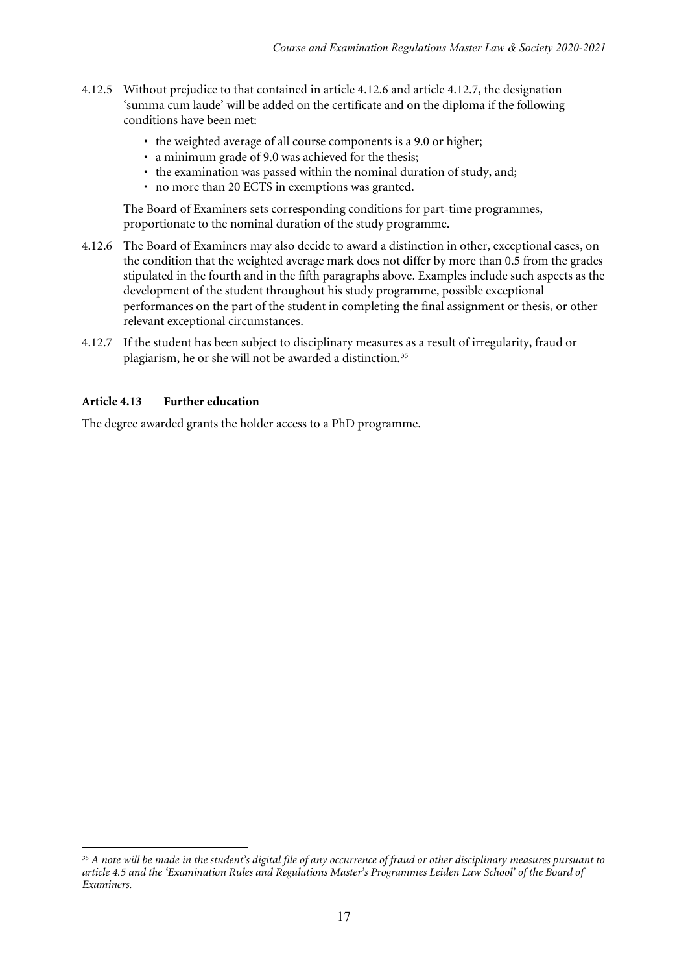- 4.12.5 Without prejudice to that contained in article 4.12.6 and article 4.12.7, the designation 'summa cum laude' will be added on the certificate and on the diploma if the following conditions have been met:
	- the weighted average of all course components is a 9.0 or higher;
	- a minimum grade of 9.0 was achieved for the thesis;
	- the examination was passed within the nominal duration of study, and;
	- no more than 20 ECTS in exemptions was granted.

The Board of Examiners sets corresponding conditions for part-time programmes, proportionate to the nominal duration of the study programme.

- 4.12.6 The Board of Examiners may also decide to award a distinction in other, exceptional cases, on the condition that the weighted average mark does not differ by more than 0.5 from the grades stipulated in the fourth and in the fifth paragraphs above. Examples include such aspects as the development of the student throughout his study programme, possible exceptional performances on the part of the student in completing the final assignment or thesis, or other relevant exceptional circumstances.
- 4.12.7 If the student has been subject to disciplinary measures as a result of irregularity, fraud or plagiarism, he or she will not be awarded a distinction.<sup>[35](#page-16-0)</sup>

#### **Article 4.13 Further education**

The degree awarded grants the holder access to a PhD programme.

<span id="page-16-0"></span><sup>1</sup> *<sup>35</sup> A note will be made in the student's digital file of any occurrence of fraud or other disciplinary measures pursuant to article 4.5 and the 'Examination Rules and Regulations Master's Programmes Leiden Law School' of the Board of Examiners.*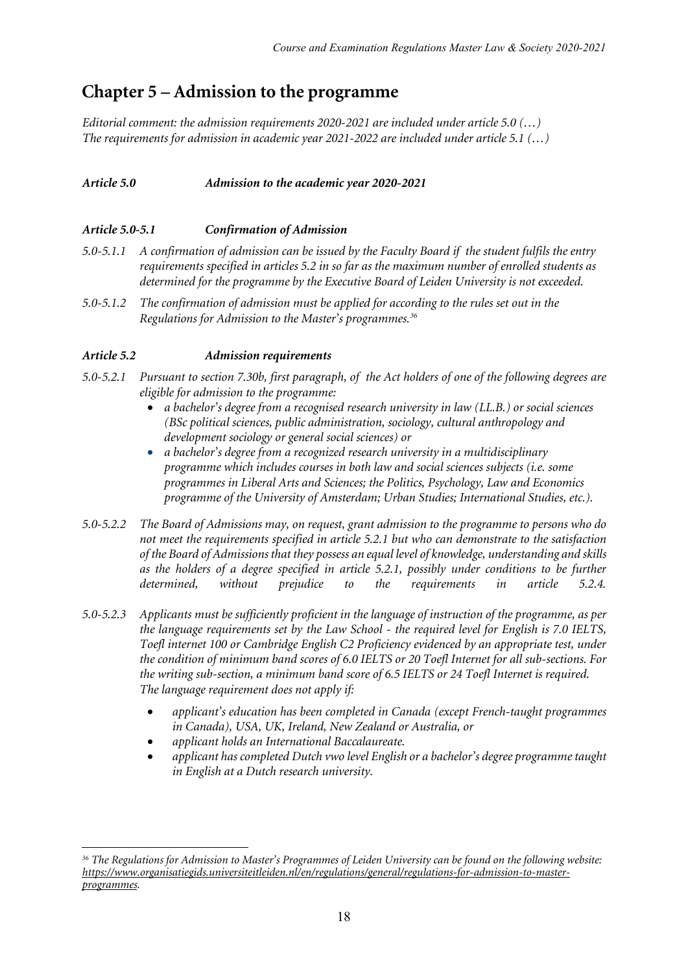### **Chapter 5 – Admission to the programme**

*Editorial comment: the admission requirements 2020-2021 are included under article 5.0 (…) The requirements for admission in academic year 2021-2022 are included under article 5.1 (…)*

#### *Article 5.0 Admission to the academic year 2020-2021*

#### *Article 5.0-5.1 Confirmation of Admission*

- *5.0-5.1.1 A confirmation of admission can be issued by the Faculty Board if the student fulfils the entry requirements specified in articles 5.2 in so far as the maximum number of enrolled students as determined for the programme by the Executive Board of Leiden University is not exceeded.*
- *5.0-5.1.2 The confirmation of admission must be applied for according to the rules set out in the Regulations for Admission to the Master's programmes.[36](#page-17-0)*

#### *Article 5.2 Admission requirements*

- *5.0-5.2.1 Pursuant to section 7.30b, first paragraph, of the Act holders of one of the following degrees are eligible for admission to the programme:*
	- *a bachelor's degree from a recognised research university in law (LL.B.) or social sciences (BSc political sciences, public administration, sociology, cultural anthropology and development sociology or general social sciences) or*
	- *a bachelor's degree from a recognized research university in a multidisciplinary programme which includes courses in both law and social sciences subjects (i.e. some programmes in Liberal Arts and Sciences; the Politics, Psychology, Law and Economics programme of the University of Amsterdam; Urban Studies; International Studies, etc.).*
- *5.0-5.2.2 The Board of Admissions may, on request, grant admission to the programme to persons who do not meet the requirements specified in article 5.2.1 but who can demonstrate to the satisfaction of the Board of Admissions that they possess an equal level of knowledge, understanding and skills as the holders of a degree specified in article 5.2.1, possibly under conditions to be further determined, without prejudice to the requirements in article 5.2.4.*
- *5.0-5.2.3 Applicants must be sufficiently proficient in the language of instruction of the programme, as per the language requirements set by the Law School - the required level for English is 7.0 IELTS, Toefl internet 100 or Cambridge English C2 Proficiency evidenced by an appropriate test, under the condition of minimum band scores of 6.0 IELTS or 20 Toefl Internet for all sub-sections. For the writing sub-section, a minimum band score of 6.5 IELTS or 24 Toefl Internet is required. The language requirement does not apply if:*
	- *applicant's education has been completed in Canada (except French-taught programmes in Canada), USA, UK, Ireland, New Zealand or Australia, or*
	- *applicant holds an International Baccalaureate.*
	- *applicant has completed Dutch vwo level English or a bachelor's degree programme taught in English at a Dutch research university.*

<span id="page-17-0"></span><sup>1</sup> *<sup>36</sup> The Regulations for Admission to Master's Programmes of Leiden University can be found on the following website: [https://www.organisatiegids.universiteitleiden.nl/en/regulations/general/regulations-for-admission-to-master](https://www.organisatiegids.universiteitleiden.nl/en/regulations/general/regulations-for-admission-to-master-programmes)[programmes.](https://www.organisatiegids.universiteitleiden.nl/en/regulations/general/regulations-for-admission-to-master-programmes)*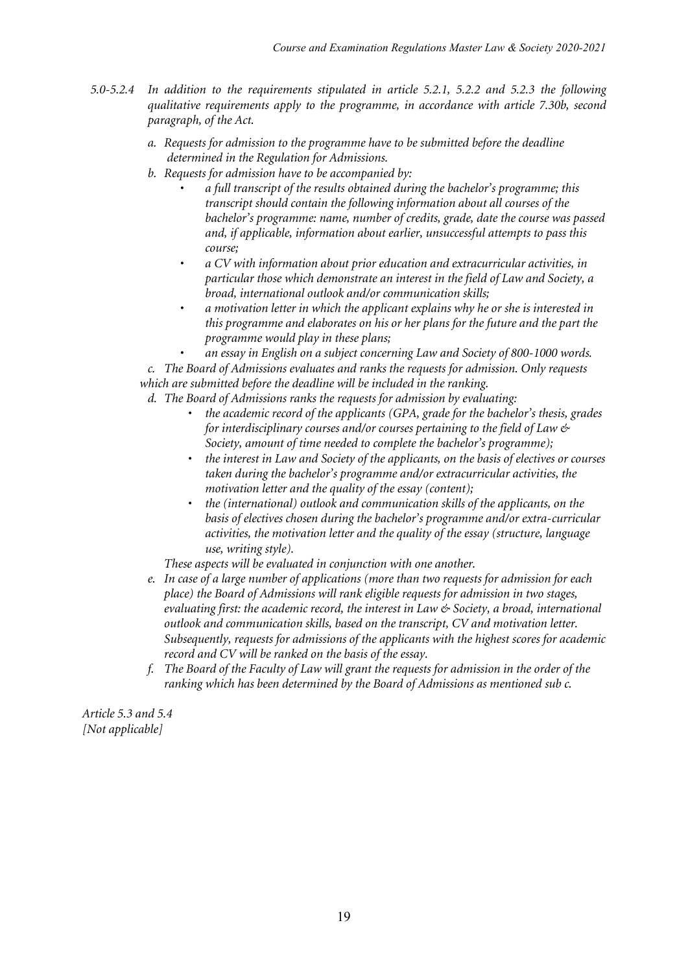- *5.0-5.2.4 In addition to the requirements stipulated in article 5.2.1, 5.2.2 and 5.2.3 the following qualitative requirements apply to the programme, in accordance with article 7.30b, second paragraph, of the Act.*
	- *a. Requests for admission to the programme have to be submitted before the deadline determined in the Regulation for Admissions.*
	- *b. Requests for admission have to be accompanied by:*
		- *a full transcript of the results obtained during the bachelor's programme; this transcript should contain the following information about all courses of the bachelor's programme: name, number of credits, grade, date the course was passed and, if applicable, information about earlier, unsuccessful attempts to pass this course;*
		- *a CV with information about prior education and extracurricular activities, in particular those which demonstrate an interest in the field of Law and Society, a broad, international outlook and/or communication skills;*
		- *a motivation letter in which the applicant explains why he or she is interested in this programme and elaborates on his or her plans for the future and the part the programme would play in these plans;*

• *an essay in English on a subject concerning Law and Society of 800-1000 words.*

*c. The Board of Admissions evaluates and ranks the requests for admission. Only requests which are submitted before the deadline will be included in the ranking.*

*d. The Board of Admissions ranks the requests for admission by evaluating:*

- *the academic record of the applicants (GPA, grade for the bachelor's thesis, grades for interdisciplinary courses and/or courses pertaining to the field of Law & Society, amount of time needed to complete the bachelor's programme);*
- *the interest in Law and Society of the applicants, on the basis of electives or courses taken during the bachelor's programme and/or extracurricular activities, the motivation letter and the quality of the essay (content);*
- *the (international) outlook and communication skills of the applicants, on the basis of electives chosen during the bachelor's programme and/or extra-curricular activities, the motivation letter and the quality of the essay (structure, language use, writing style).*

*These aspects will be evaluated in conjunction with one another.*

- *e. In case of a large number of applications (more than two requests for admission for each place) the Board of Admissions will rank eligible requests for admission in two stages, evaluating first: the academic record, the interest in Law & Society, a broad, international outlook and communication skills, based on the transcript, CV and motivation letter. Subsequently, requests for admissions of the applicants with the highest scores for academic record and CV will be ranked on the basis of the essay.*
- *f. The Board of the Faculty of Law will grant the requests for admission in the order of the ranking which has been determined by the Board of Admissions as mentioned sub c.*

*Article 5.3 and 5.4 [Not applicable]*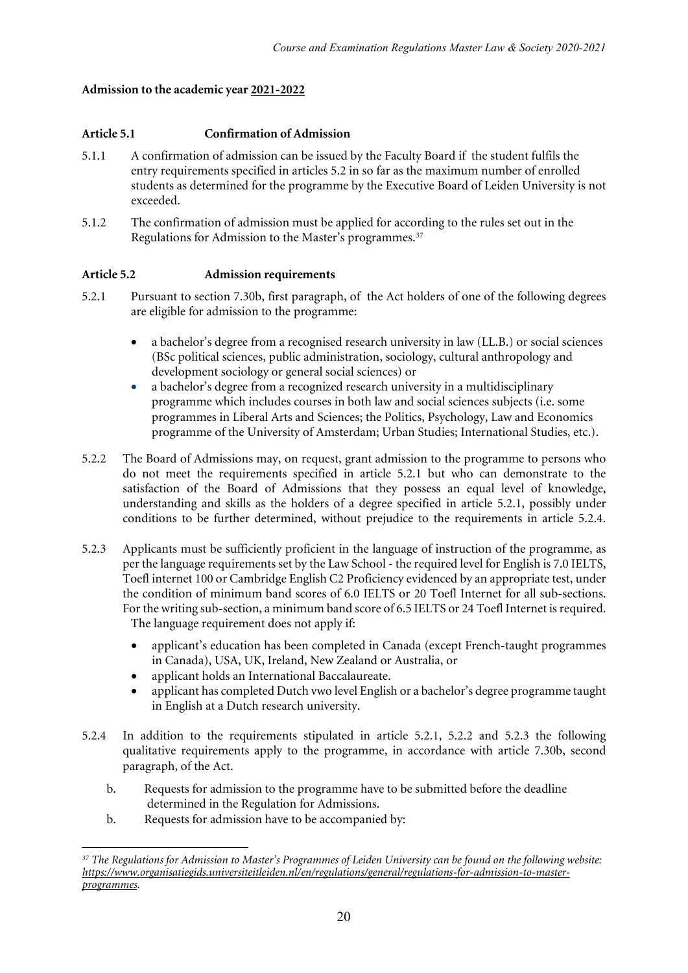#### **Admission to the academic year 2021-2022**

#### **Article 5.1 Confirmation of Admission**

- 5.1.1 A confirmation of admission can be issued by the Faculty Board if the student fulfils the entry requirements specified in articles 5.2 in so far as the maximum number of enrolled students as determined for the programme by the Executive Board of Leiden University is not exceeded.
- 5.1.2 The confirmation of admission must be applied for according to the rules set out in the Regulations for Admission to the Master's programmes.<sup>[37](#page-19-0)</sup>

#### **Article 5.2 Admission requirements**

- 5.2.1 Pursuant to section 7.30b, first paragraph, of the Act holders of one of the following degrees are eligible for admission to the programme:
	- a bachelor's degree from a recognised research university in law (LL.B.) or social sciences (BSc political sciences, public administration, sociology, cultural anthropology and development sociology or general social sciences) or
	- a bachelor's degree from a recognized research university in a multidisciplinary programme which includes courses in both law and social sciences subjects (i.e. some programmes in Liberal Arts and Sciences; the Politics, Psychology, Law and Economics programme of the University of Amsterdam; Urban Studies; International Studies, etc.).
- 5.2.2 The Board of Admissions may, on request, grant admission to the programme to persons who do not meet the requirements specified in article 5.2.1 but who can demonstrate to the satisfaction of the Board of Admissions that they possess an equal level of knowledge, understanding and skills as the holders of a degree specified in article 5.2.1, possibly under conditions to be further determined, without prejudice to the requirements in article 5.2.4.
- 5.2.3 Applicants must be sufficiently proficient in the language of instruction of the programme, as per the language requirements set by the Law School - the required level for English is 7.0 IELTS, Toefl internet 100 or Cambridge English C2 Proficiency evidenced by an appropriate test, under the condition of minimum band scores of 6.0 IELTS or 20 Toefl Internet for all sub-sections. For the writing sub-section, a minimum band score of 6.5 IELTS or 24 Toefl Internet is required. The language requirement does not apply if:
	- applicant's education has been completed in Canada (except French-taught programmes in Canada), USA, UK, Ireland, New Zealand or Australia, or
	- applicant holds an International Baccalaureate.
	- applicant has completed Dutch vwo level English or a bachelor's degree programme taught in English at a Dutch research university.
- 5.2.4 In addition to the requirements stipulated in article 5.2.1, 5.2.2 and 5.2.3 the following qualitative requirements apply to the programme, in accordance with article 7.30b, second paragraph, of the Act.
	- b. Requests for admission to the programme have to be submitted before the deadline determined in the Regulation for Admissions.
	- b. Requests for admission have to be accompanied by:

<span id="page-19-0"></span><sup>1</sup> *<sup>37</sup> The Regulations for Admission to Master's Programmes of Leiden University can be found on the following website: [https://www.organisatiegids.universiteitleiden.nl/en/regulations/general/regulations-for-admission-to-master](https://www.organisatiegids.universiteitleiden.nl/en/regulations/general/regulations-for-admission-to-master-programmes)[programmes.](https://www.organisatiegids.universiteitleiden.nl/en/regulations/general/regulations-for-admission-to-master-programmes)*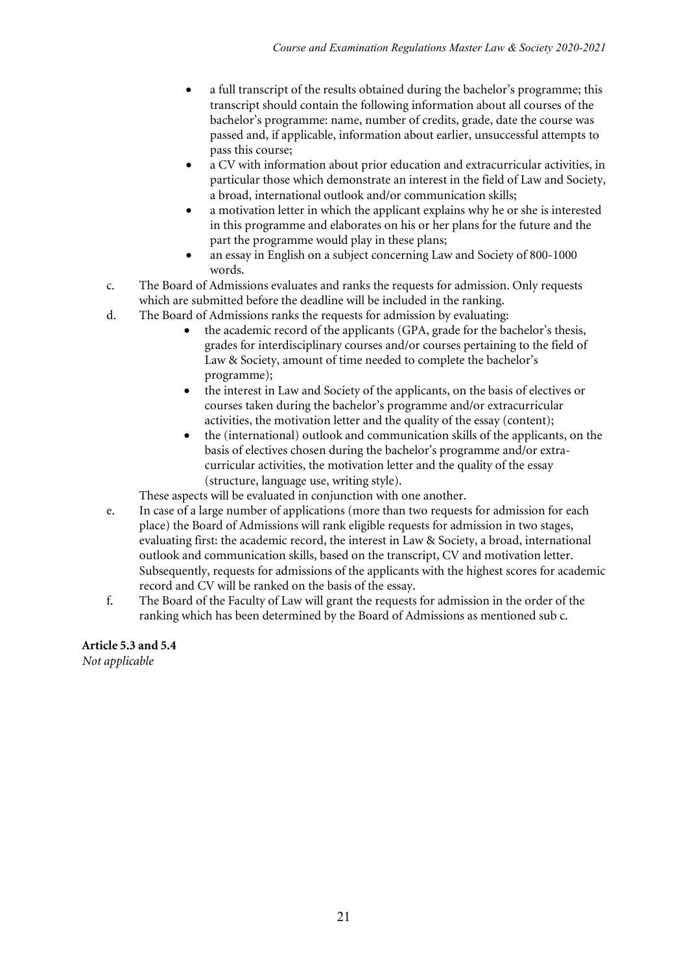- a full transcript of the results obtained during the bachelor's programme; this transcript should contain the following information about all courses of the bachelor's programme: name, number of credits, grade, date the course was passed and, if applicable, information about earlier, unsuccessful attempts to pass this course;
- a CV with information about prior education and extracurricular activities, in particular those which demonstrate an interest in the field of Law and Society, a broad, international outlook and/or communication skills;
- a motivation letter in which the applicant explains why he or she is interested in this programme and elaborates on his or her plans for the future and the part the programme would play in these plans;
- an essay in English on a subject concerning Law and Society of 800-1000 words.
- c. The Board of Admissions evaluates and ranks the requests for admission. Only requests which are submitted before the deadline will be included in the ranking.
- d. The Board of Admissions ranks the requests for admission by evaluating:
	- the academic record of the applicants (GPA, grade for the bachelor's thesis, grades for interdisciplinary courses and/or courses pertaining to the field of Law & Society, amount of time needed to complete the bachelor's programme);
	- the interest in Law and Society of the applicants, on the basis of electives or courses taken during the bachelor's programme and/or extracurricular activities, the motivation letter and the quality of the essay (content);
	- the (international) outlook and communication skills of the applicants, on the basis of electives chosen during the bachelor's programme and/or extracurricular activities, the motivation letter and the quality of the essay (structure, language use, writing style).

These aspects will be evaluated in conjunction with one another.

- e. In case of a large number of applications (more than two requests for admission for each place) the Board of Admissions will rank eligible requests for admission in two stages, evaluating first: the academic record, the interest in Law & Society, a broad, international outlook and communication skills, based on the transcript, CV and motivation letter. Subsequently, requests for admissions of the applicants with the highest scores for academic record and CV will be ranked on the basis of the essay.
- f. The Board of the Faculty of Law will grant the requests for admission in the order of the ranking which has been determined by the Board of Admissions as mentioned sub c.

### **Article 5.3 and 5.4**

*Not applicable*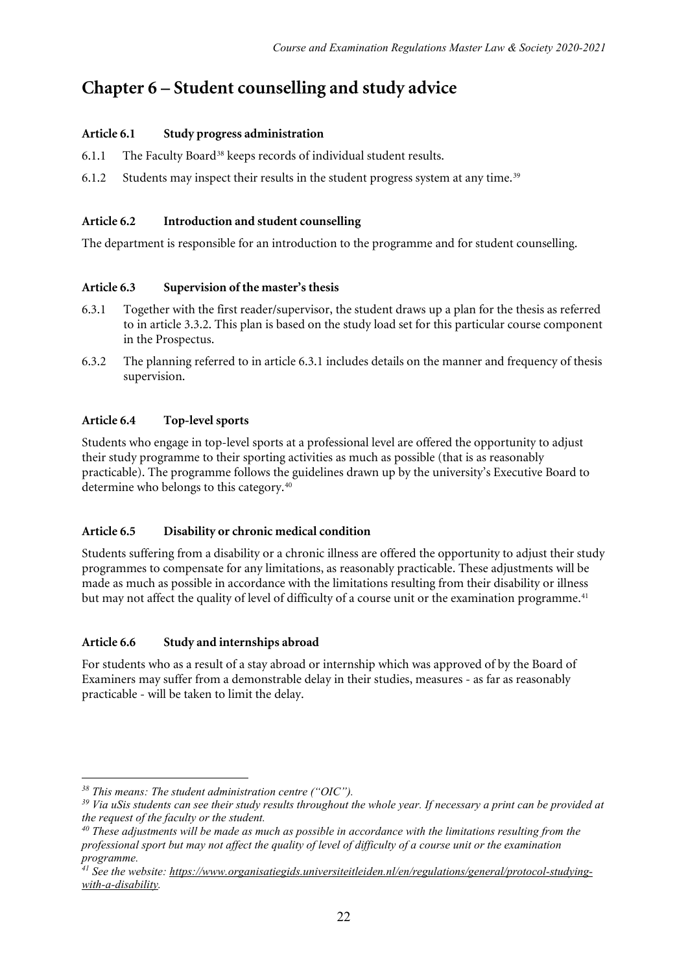# **Chapter 6 – Student counselling and study advice**

#### **Article 6.1 Study progress administration**

- 6.1.1 The Faculty Board<sup>[38](#page-21-0)</sup> keeps records of individual student results.
- 6.1.2 Students may inspect their results in the student progress system at any time.<sup>[39](#page-21-1)</sup>

#### **Article 6.2 Introduction and student counselling**

The department is responsible for an introduction to the programme and for student counselling.

#### **Article 6.3 Supervision of the master's thesis**

- 6.3.1 Together with the first reader/supervisor, the student draws up a plan for the thesis as referred to in article 3.3.2. This plan is based on the study load set for this particular course component in the Prospectus.
- 6.3.2 The planning referred to in article 6.3.1 includes details on the manner and frequency of thesis supervision.

#### **Article 6.4 Top-level sports**

Students who engage in top-level sports at a professional level are offered the opportunity to adjust their study programme to their sporting activities as much as possible (that is as reasonably practicable). The programme follows the guidelines drawn up by the university's Executive Board to determine who belongs to this category.[40](#page-21-2)

#### **Article 6.5 Disability or chronic medical condition**

Students suffering from a disability or a chronic illness are offered the opportunity to adjust their study programmes to compensate for any limitations, as reasonably practicable. These adjustments will be made as much as possible in accordance with the limitations resulting from their disability or illness but may not affect the quality of level of difficulty of a course unit or the examination programme.<sup>[41](#page-21-3)</sup>

#### **Article 6.6 Study and internships abroad**

For students who as a result of a stay abroad or internship which was approved of by the Board of Examiners may suffer from a demonstrable delay in their studies, measures - as far as reasonably practicable - will be taken to limit the delay.

<sup>1</sup> *<sup>38</sup> This means: The student administration centre ("OIC").*

<span id="page-21-1"></span><span id="page-21-0"></span>*<sup>39</sup> Via uSis students can see their study results throughout the whole year. If necessary a print can be provided at the request of the faculty or the student.*

<span id="page-21-2"></span>*<sup>40</sup> These adjustments will be made as much as possible in accordance with the limitations resulting from the professional sport but may not affect the quality of level of difficulty of a course unit or the examination programme.*

<span id="page-21-3"></span>*<sup>41</sup> See the website: [https://www.organisatiegids.universiteitleiden.nl/en/regulations/general/protocol-studying](https://www.organisatiegids.universiteitleiden.nl/en/regulations/general/protocol-studying-with-a-disability)[with-a-disability.](https://www.organisatiegids.universiteitleiden.nl/en/regulations/general/protocol-studying-with-a-disability)*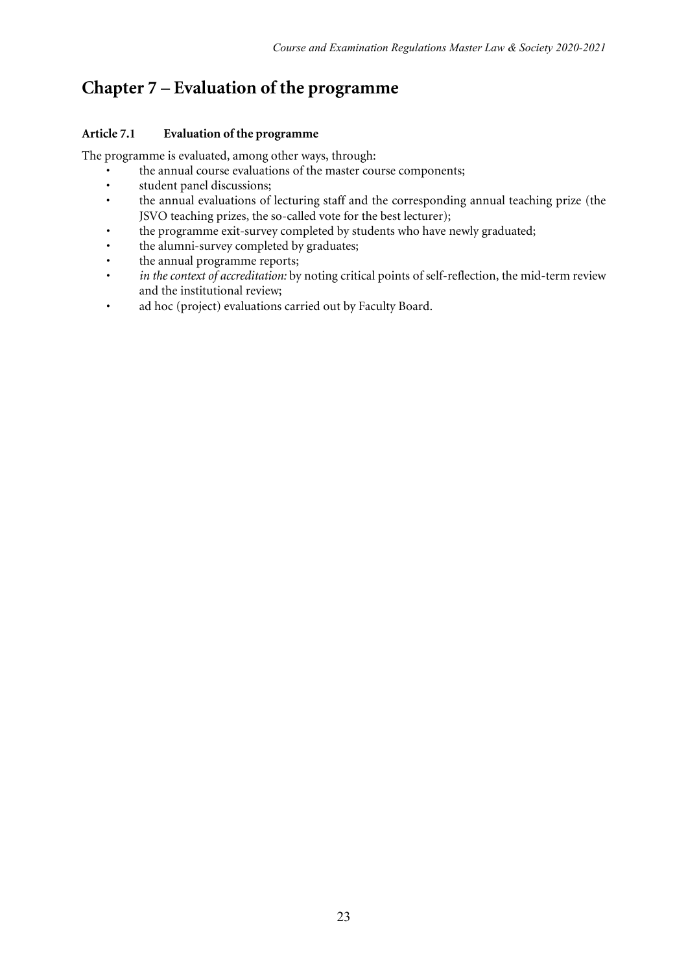# **Chapter 7 – Evaluation of the programme**

#### **Article 7.1 Evaluation of the programme**

The programme is evaluated, among other ways, through:

- the annual course evaluations of the master course components;<br>• student panel discussions:
- student panel discussions;
- the annual evaluations of lecturing staff and the corresponding annual teaching prize (the JSVO teaching prizes, the so-called vote for the best lecturer);
- the programme exit-survey completed by students who have newly graduated;
- the alumni-survey completed by graduates;
- the annual programme reports;
- *in the context of accreditation:* by noting critical points of self-reflection, the mid-term review and the institutional review;
- ad hoc (project) evaluations carried out by Faculty Board.